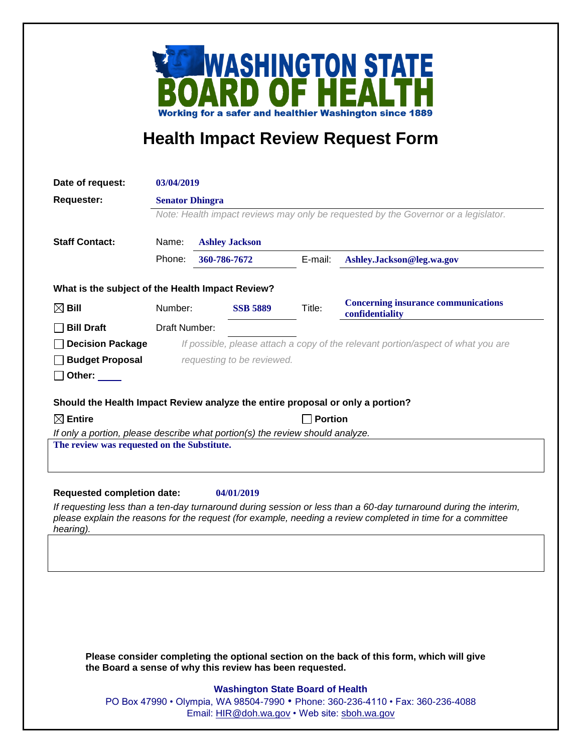

## **Health Impact Review Request Form**

| Date of request:                                                                                                                                                                                                                             | 03/04/2019                                                                         |                       |                 |         |                                                               |
|----------------------------------------------------------------------------------------------------------------------------------------------------------------------------------------------------------------------------------------------|------------------------------------------------------------------------------------|-----------------------|-----------------|---------|---------------------------------------------------------------|
| <b>Requester:</b>                                                                                                                                                                                                                            | <b>Senator Dhingra</b>                                                             |                       |                 |         |                                                               |
|                                                                                                                                                                                                                                              | Note: Health impact reviews may only be requested by the Governor or a legislator. |                       |                 |         |                                                               |
|                                                                                                                                                                                                                                              |                                                                                    |                       |                 |         |                                                               |
| <b>Staff Contact:</b>                                                                                                                                                                                                                        | Name:                                                                              | <b>Ashley Jackson</b> |                 |         |                                                               |
|                                                                                                                                                                                                                                              | Phone:                                                                             | 360-786-7672          |                 | E-mail: | Ashley.Jackson@leg.wa.gov                                     |
| What is the subject of the Health Impact Review?                                                                                                                                                                                             |                                                                                    |                       |                 |         |                                                               |
| $\boxtimes$ Bill                                                                                                                                                                                                                             | Number:                                                                            |                       | <b>SSB 5889</b> | Title:  | <b>Concerning insurance communications</b><br>confidentiality |
| <b>Bill Draft</b>                                                                                                                                                                                                                            | Draft Number:                                                                      |                       |                 |         |                                                               |
| <b>Decision Package</b>                                                                                                                                                                                                                      | If possible, please attach a copy of the relevant portion/aspect of what you are   |                       |                 |         |                                                               |
| <b>Budget Proposal</b>                                                                                                                                                                                                                       | requesting to be reviewed.                                                         |                       |                 |         |                                                               |
| Other: $\_\_$                                                                                                                                                                                                                                |                                                                                    |                       |                 |         |                                                               |
|                                                                                                                                                                                                                                              |                                                                                    |                       |                 |         |                                                               |
| Should the Health Impact Review analyze the entire proposal or only a portion?                                                                                                                                                               |                                                                                    |                       |                 |         |                                                               |
| $\boxtimes$ Entire                                                                                                                                                                                                                           | <b>Portion</b>                                                                     |                       |                 |         |                                                               |
| If only a portion, please describe what portion(s) the review should analyze.<br>The review was requested on the Substitute.                                                                                                                 |                                                                                    |                       |                 |         |                                                               |
|                                                                                                                                                                                                                                              |                                                                                    |                       |                 |         |                                                               |
|                                                                                                                                                                                                                                              |                                                                                    |                       |                 |         |                                                               |
| <b>Requested completion date:</b><br>04/01/2019                                                                                                                                                                                              |                                                                                    |                       |                 |         |                                                               |
| If requesting less than a ten-day turnaround during session or less than a 60-day turnaround during the interim,<br>please explain the reasons for the request (for example, needing a review completed in time for a committee<br>hearing). |                                                                                    |                       |                 |         |                                                               |
|                                                                                                                                                                                                                                              |                                                                                    |                       |                 |         |                                                               |
|                                                                                                                                                                                                                                              |                                                                                    |                       |                 |         |                                                               |
|                                                                                                                                                                                                                                              |                                                                                    |                       |                 |         |                                                               |
|                                                                                                                                                                                                                                              |                                                                                    |                       |                 |         |                                                               |
|                                                                                                                                                                                                                                              |                                                                                    |                       |                 |         |                                                               |
|                                                                                                                                                                                                                                              |                                                                                    |                       |                 |         |                                                               |
|                                                                                                                                                                                                                                              |                                                                                    |                       |                 |         |                                                               |
| Please consider completing the optional section on the back of this form, which will give<br>the Board a sense of why this review has been requested.                                                                                        |                                                                                    |                       |                 |         |                                                               |

## **Washington State Board of Health**

PO Box 47990 • Olympia, WA 98504-7990 • Phone: 360-236-4110 • Fax: 360-236-4088 Email: [HIR@doh.wa.gov](mailto:HIR@doh.wa.gov) • Web site: [sboh.wa.gov](http://www.sboh.wa.gov/hdcouncil/)